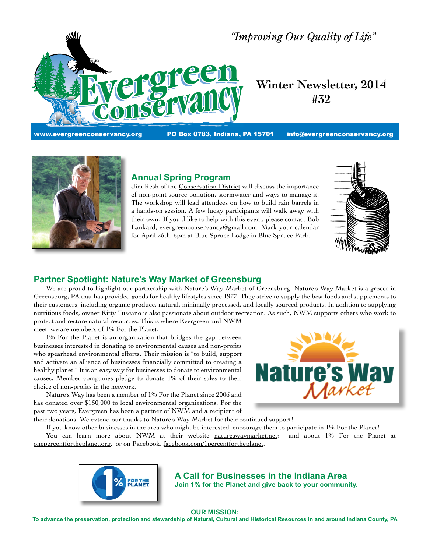

# *"Improving Our Quality of Life"*

# **Winter Newsletter, 2014 #32**

www.evergreenconservancy.org PO Box 0783, Indiana, PA 15701  [info@evergreenconservancy.org](mailto:info@evergreenconservancy.com)



#### **Annual Spring Program**

Jim Resh of the [Conservation](http://www.iccdpa.org/) District will discuss the importance of non-point source pollution, stormwater and ways to manage it. The workshop will lead attendees on how to build rain barrels in a hands-on session. A few lucky participants will walk away with their own! If you'd like to help with this event, please contact Bob Lankard, [evergreenconservancy@gmail.com.](mailto:evergreenconservancy@gmail.com) Mark your calendar for April 25th, 6pm at Blue Spruce Lodge in Blue Spruce Park.



# **Partner Spotlight: Nature's Way Market of Greensburg**

 We are proud to highlight our partnership with Nature's Way Market of Greensburg. Nature's Way Market is a grocer in Greensburg, PA that has provided goods for healthy lifestyles since 1977. They strive to supply the best foods and supplements to their customers, including organic produce, natural, minimally processed, and locally sourced products. In addition to supplying nutritious foods, owner Kitty Tuscano is also passionate about outdoor recreation. As such, NWM supports others who work to protect and restore natural resources. This is where Evergreen and NWM

meet; we are members of 1% For the Planet.

 1% For the Planet is an organization that bridges the gap between businesses interested in donating to environmental causes and non-profits who spearhead environmental efforts. Their mission is "to build, support and activate an alliance of businesses financially committed to creating a healthy planet." It is an easy way for businesses to donate to environmental causes. Member companies pledge to donate 1% of their sales to their choice of non-profits in the network.

 Nature's Way has been a member of 1% For the Planet since 2006 and has donated over \$150,000 to local environmental organizations. For the past two years, Evergreen has been a partner of NWM and a recipient of



their donations. We extend our thanks to Nature's Way Market for their continued support!

 If you know other businesses in the area who might be interested, encourage them to participate in 1% For the Planet! You can learn more about NWM at their website [natureswaymarket.net;](http://www.natureswaymarket.net) and about 1% For the Planet at [onepercentfortheplanet.org](http://onepercentfortheplanet.org/), or on Facebook, [facebook.com/1percentfortheplanet](https://www.facebook.com/1percentfortheplanet).



**A Call for Businesses in the Indiana Area Join 1% for the Planet and give back to your community.**

#### **OUR MISSION:**

**To advance the preservation, protection and stewardship of Natural, Cultural and Historical Resources in and around Indiana County, PA**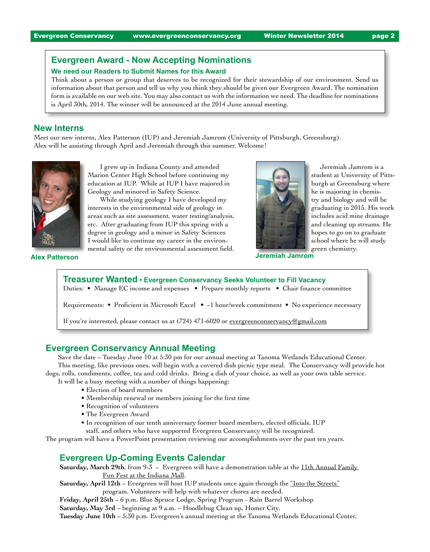# **Evergreen Award - Now Accepting Nominations**

#### **We need our Readers to Submit Names for this Award**

Think about a person or group that deserves to be recognized for their stewardship of our environment. Send us information about that person and tell us why you think they should be given our Evergreen Award. The nomination form is available on our web site. You may also contact us with the information we need. The deadline for nominations is April 30th, 2014. The winner will be announced at the 2014 June annual meeting.

#### **New Interns**

Meet our new interns, Alex Patterson (IUP) and Jeremiah Jamrom (University of Pittsburgh, Greensburg). Alex will be assisting through April and Jeremiah through this summer. Welcome!



 I grew up in Indiana County and attended Marion Center High School before continuing my education at IUP. While at IUP I have majored in Geology and minored in Safety Science.

 While studying geology I have developed my interests in the environmental side of geology in areas such as site assessment, water testing/analysis, etc. After graduating from IUP this spring with a degree in geology and a minor in Safety Sciences I would like to continue my career in the environmental safety or the environmental assessment field.



 Jeremiah Jamrom is a student at University of Pittsburgh at Greensburg where he is majoring in chemistry and biology and will be graduating in 2015. His work includes acid mine drainage and cleaning up streams. He hopes to go on to graduate school where he will study green chemistry.

**Alex Patterson Jeremiah Jamrom**

# **Treasurer Wanted • Evergreen Conservancy Seeks Volunteer to Fill Vacancy** Duties: • Manage EC income and expenses • Prepare monthly reports • Chair finance committee Requirements: • Proficient in Microsoft Excel • ~1 hour/week commitment • No experience necessary If you're interested, please contact us at (724) 471-6020 or evergreenconservancy@gmail.com

# **Evergreen Conservancy Annual Meeting**

 Save the date – Tuesday June 10 at 5:30 pm for our annual meeting at Tanoma Wetlands Educational Center. This meeting, like previous ones, will begin with a covered dish picnic type meal. The Conservancy will provide hot dogs, rolls, condiments, coffee, tea and cold drinks. Bring a dish of your choice, as well as your own table service.

 It will be a busy meeting with a number of things happening:

- Election of board members
- Membership renewal or members joining for the first time
- Recognition of volunteers
- The Evergreen Award
- In recognition of our tenth anniversary former board members, elected officials, IUP staff, and others who have supported Evergreen Conservancy will be recognized.

The program will have a PowerPoint presentation reviewing our accomplishments over the past ten years.

#### **Evergreen Up-Coming Events Calendar**

**Saturday, March 29th**, from 9-3 – Evergreen will have a demonstration table at the 11th [Annual](http://www.indianamallpa.com/events.php) Family Fun Fest at the [Indiana](http://www.indianamallpa.com/events.php) Mall.

**Saturday, April 12th** – Evergreen will host IUP students once again through the "Into the [Streets"](http://www.iup.edu/page.aspx?id=26193) program. Volunteers will help with whatever chores are needed.

**Friday, April 25th** – 6 p.m. Blue Spruce Lodge, Spring Program - Rain Barrel Workshop

**Saturday, May 3rd** – beginning at 9 a.m. – Hoodlebug Clean up, Homer City.

**Tuesday June 10th** – 5:30 p.m. Evergreen's annual meeting at the Tanoma Wetlands Educational Center.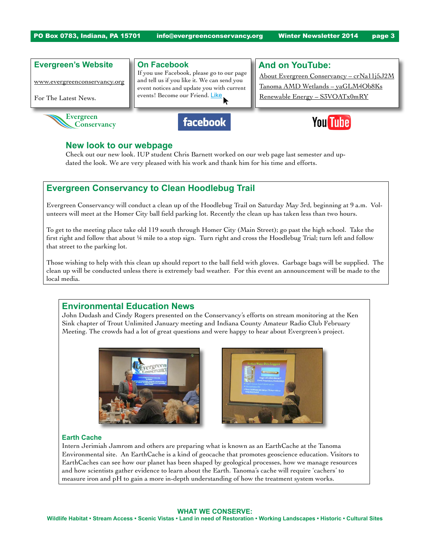PO Box 0783, Indiana, PA 15701  [info@evergreenconservancy.org](mailto:info%40evergreenconservancy.org?subject=) Winter Newsletter 2014 page 3

## **Evergreen's Website**

[www.evergreenconservancy.org](http://www.evergreenconservancy.org)

For The Latest News.



#### **On Facebook**

If you use Facebook, please go to our page and tell us if you like it. We can send you event notices and update you with current events! Become our Friend. [Like](http://www.facebook.com/)

# **And on YouTube:**

About Evergreen Conservancy – [crNa11j5J2M](http://www.youtube.com/results?search_query=crNa11j5J2M) Tanoma AMD Wetlands – [yaGLM4Ob8Ks](http://www.youtube.com/watch?v=yaGLM4Ob8Ks) Renewable Energy – [S3VOATx0mRY](http://www.youtube.com/watch?v=S3VOATx0mRY)





# **New look to our webpage**

Check out our new look. IUP student Chris Barnett worked on our web page last semester and updated the look. We are very pleased with his work and thank him for his time and efforts.

# **Evergreen Conservancy to Clean Hoodlebug Trail**

Evergreen Conservancy will conduct a clean up of the Hoodlebug Trail on Saturday May 3rd, beginning at 9 a.m. Volunteers will meet at the Homer City ball field parking lot. Recently the clean up has taken less than two hours.

To get to the meeting place take old 119 south through Homer City (Main Street); go past the high school. Take the first right and follow that about 1/4 mile to a stop sign. Turn right and cross the Hoodlebug Trial; turn left and follow that street to the parking lot.

Those wishing to help with this clean up should report to the ball field with gloves. Garbage bags will be supplied. The clean up will be conducted unless there is extremely bad weather. For this event an announcement will be made to the local media.

# **Environmental Education News**

John Dudash and Cindy Rogers presented on the Conservancy's efforts on stream monitoring at the Ken Sink chapter of Trout Unlimited January meeting and Indiana County Amateur Radio Club February Meeting. The crowds had a lot of great questions and were happy to hear about Evergreen's project.





#### **Earth Cache**

Intern Jerimiah Jamrom and others are preparing what is known as an EarthCache at the Tanoma Environmental site. An EarthCache is a kind of geocache that promotes geoscience education. Visitors to EarthCaches can see how our planet has been shaped by geological processes, how we manage resources and how scientists gather evidence to learn about the Earth. Tanoma's cache will require 'cachers' to measure iron and pH to gain a more in-depth understanding of how the treatment system works.

#### **WHAT WE CONSERVE:**

**Wildlife Habitat • Stream Access • Scenic Vistas • Land in need of Restoration • Working Landscapes • Historic • Cultural Sites**